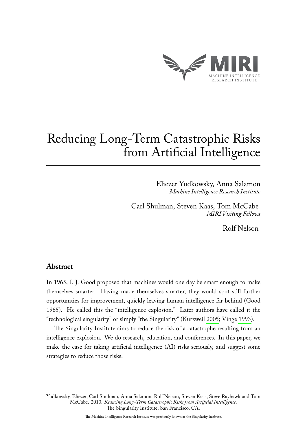

# Reducing Long-Term Catastrophic Risks from Artificial Intelligence

Eliezer Yudkowsky, Anna Salamon *Machine Intelligence Research Institute*

Carl Shulman, Steven Kaas, Tom McCabe *MIRI Visiting Fellows*

Rolf Nelson

#### **Abstract**

In 1965, I. J. Good proposed that machines would one day be smart enough to make themselves smarter. Having made themselves smarter, they would spot still further opportunities for improvement, quickly leaving human intelligence far behind (Good [1965\)](#page-7-0). He called this the "intelligence explosion." Later authors have called it the "technological singularity" or simply "the Singularity" (Kurzweil [2005;](#page-7-1) Vinge [1993\)](#page-8-0).

The Singularity Institute aims to reduce the risk of a catastrophe resulting from an intelligence explosion. We do research, education, and conferences. In this paper, we make the case for taking artificial intelligence (AI) risks seriously, and suggest some strategies to reduce those risks.

Yudkowsky, Eliezer, Carl Shulman, Anna Salamon, Rolf Nelson, Steven Kaas, Steve Rayhawk and Tom McCabe. 2010. *Reducing Long-Term Catastrophic Risks from Artificial Intelligence*. The Singularity Institute, San Francisco, CA.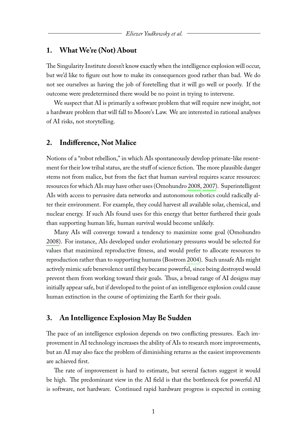#### **1. What We're (Not) About**

The Singularity Institute doesn't know exactly when the intelligence explosion will occur, but we'd like to figure out how to make its consequences good rather than bad. We do not see ourselves as having the job of foretelling that it will go well or poorly. If the outcome were predetermined there would be no point in trying to intervene.

We suspect that AI is primarily a software problem that will require new insight, not a hardware problem that will fall to Moore's Law. We are interested in rational analyses of AI risks, not storytelling.

#### **2. Indifference, Not Malice**

Notions of a "robot rebellion," in which AIs spontaneously develop primate-like resentment for their low tribal status, are the stuff of science fiction. The more plausible danger stems not from malice, but from the fact that human survival requires scarce resources: resources for which AIs may have other uses (Omohundro [2008,](#page-7-2) [2007\)](#page-7-3). Superintelligent AIs with access to pervasive data networks and autonomous robotics could radically alter their environment. For example, they could harvest all available solar, chemical, and nuclear energy. If such AIs found uses for this energy that better furthered their goals than supporting human life, human survival would become unlikely.

Many AIs will converge toward a tendency to maximize some goal (Omohundro [2008\)](#page-7-2). For instance, AIs developed under evolutionary pressures would be selected for values that maximized reproductive fitness, and would prefer to allocate resources to reproduction rather than to supporting humans (Bostrom [2004\)](#page-7-4). Such unsafe AIs might actively mimic safe benevolence until they became powerful, since being destroyed would prevent them from working toward their goals. Thus, a broad range of AI designs may initially appear safe, but if developed to the point of an intelligence explosion could cause human extinction in the course of optimizing the Earth for their goals.

#### **3. An Intelligence Explosion May Be Sudden**

The pace of an intelligence explosion depends on two conflicting pressures. Each improvement in AI technology increases the ability of AIs to research more improvements, but an AI may also face the problem of diminishing returns as the easiest improvements are achieved first.

The rate of improvement is hard to estimate, but several factors suggest it would be high. The predominant view in the AI field is that the bottleneck for powerful AI is software, not hardware. Continued rapid hardware progress is expected in coming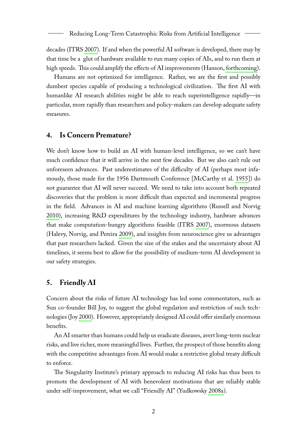decades (ITRS [2007\)](#page-7-5). If and when the powerful AI software is developed, there may by that time be a glut of hardware available to run many copies of AIs, and to run them at high speeds. This could amplify the effects of AI improvements (Hanson, [forthcoming\)](#page-7-6).

Humans are not optimized for intelligence. Rather, we are the first and possibly dumbest species capable of producing a technological civilization. The first AI with humanlike AI research abilities might be able to reach superintelligence rapidly—in particular, more rapidly than researchers and policy-makers can develop adequate safety measures.

#### **4. Is Concern Premature?**

We don't know how to build an AI with human-level intelligence, so we can't have much confidence that it will arrive in the next few decades. But we also can't rule out unforeseen advances. Past underestimates of the difficulty of AI (perhaps most infamously, those made for the 1956 Dartmouth Conference [McCarthy et al. [1955\]](#page-7-7)) do not guarantee that AI will never succeed. We need to take into account both repeated discoveries that the problem is more difficult than expected and incremental progress in the field. Advances in AI and machine learning algorithms (Russell and Norvig [2010\)](#page-8-1), increasing R&D expenditures by the technology industry, hardware advances that make computation-hungry algorithms feasible (ITRS [2007\)](#page-7-5), enormous datasets (Halevy, Norvig, and Pereira [2009\)](#page-7-8), and insights from neuroscience give us advantages that past researchers lacked. Given the size of the stakes and the uncertainty about AI timelines, it seems best to allow for the possibility of medium-term AI development in our safety strategies.

#### **5. Friendly AI**

Concern about the risks of future AI technology has led some commentators, such as Sun co-founder Bill Joy, to suggest the global regulation and restriction of such technologies (Joy [2000\)](#page-7-9). However, appropriately designed AI could offer similarly enormous benefits.

An AI smarter than humans could help us eradicate diseases, avert long-term nuclear risks, and live richer, more meaningful lives. Further, the prospect of those benefits along with the competitive advantages from AI would make a restrictive global treaty difficult to enforce.

The Singularity Institute's primary approach to reducing AI risks has thus been to promote the development of AI with benevolent motivations that are reliably stable under self-improvement, what we call "Friendly AI" (Yudkowsky [2008a\)](#page-8-2).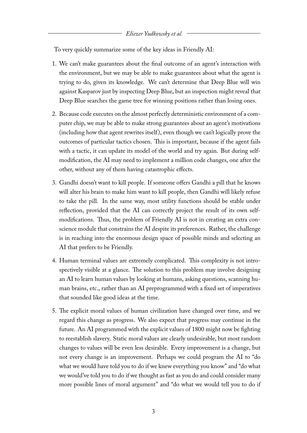To very quickly summarize some of the key ideas in Friendly AI:

- 1. We can't make guarantees about the final outcome of an agent's interaction with the environment, but we may be able to make guarantees about what the agent is trying to do, given its knowledge. We can't determine that Deep Blue will win against Kasparov just by inspecting Deep Blue, but an inspection might reveal that Deep Blue searches the game tree for winning positions rather than losing ones.
- 2. Because code executes on the almost perfectly deterministic environment of a computer chip, we may be able to make strong guarantees about an agent's motivations (including how that agent rewrites itself ), even though we can't logically prove the outcomes of particular tactics chosen. This is important, because if the agent fails with a tactic, it can update its model of the world and try again. But during selfmodification, the AI may need to implement a million code changes, one after the other, without any of them having catastrophic effects.
- 3. Gandhi doesn't want to kill people. If someone offers Gandhi a pill that he knows will alter his brain to make him want to kill people, then Gandhi will likely refuse to take the pill. In the same way, most utility functions should be stable under reflection, provided that the AI can correctly project the result of its own selfmodifications. Thus, the problem of Friendly AI is not in creating an extra conscience module that constrains the AI despite its preferences. Rather, the challenge is in reaching into the enormous design space of possible minds and selecting an AI that prefers to be Friendly.
- 4. Human terminal values are extremely complicated. This complexity is not introspectively visible at a glance. The solution to this problem may involve designing an AI to learn human values by looking at humans, asking questions, scanning human brains, etc., rather than an AI preprogrammed with a fixed set of imperatives that sounded like good ideas at the time.
- 5. The explicit moral values of human civilization have changed over time, and we regard this change as progress. We also expect that progress may continue in the future. An AI programmed with the explicit values of 1800 might now be fighting to reestablish slavery. Static moral values are clearly undesirable, but most random changes to values will be even less desirable. Every improvement is a change, but not every change is an improvement. Perhaps we could program the AI to "do what we would have told you to do if we knew everything you know" and "do what we would've told you to do if we thought as fast as you do and could consider many more possible lines of moral argument" and "do what we would tell you to do if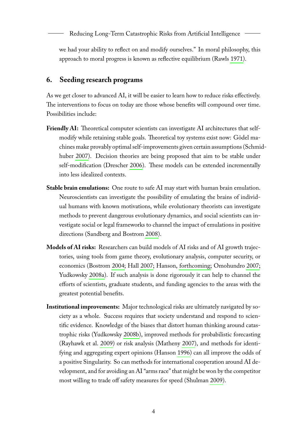we had your ability to reflect on and modify ourselves." In moral philosophy, this approach to moral progress is known as reflective equilibrium (Rawls [1971\)](#page-8-3).

#### **6. Seeding research programs**

As we get closer to advanced AI, it will be easier to learn how to reduce risks effectively. The interventions to focus on today are those whose benefits will compound over time. Possibilities include:

- Friendly AI: Theoretical computer scientists can investigate AI architectures that selfmodify while retaining stable goals. Theoretical toy systems exist now: Gödel machines make provably optimal self-improvements given certain assumptions (Schmidhuber [2007\)](#page-8-4). Decision theories are being proposed that aim to be stable under self-modification (Drescher [2006\)](#page-7-10). These models can be extended incrementally into less idealized contexts.
- **Stable brain emulations:** One route to safe AI may start with human brain emulation. Neuroscientists can investigate the possibility of emulating the brains of individual humans with known motivations, while evolutionary theorists can investigate methods to prevent dangerous evolutionary dynamics, and social scientists can investigate social or legal frameworks to channel the impact of emulations in positive directions (Sandberg and Bostrom [2008\)](#page-8-5).
- **Models of AI risks:** Researchers can build models of AI risks and of AI growth trajectories, using tools from game theory, evolutionary analysis, computer security, or economics (Bostrom [2004;](#page-7-4) Hall [2007;](#page-7-11) Hanson, [forthcoming;](#page-7-6) Omohundro [2007;](#page-7-3) Yudkowsky [2008a\)](#page-8-2). If such analysis is done rigorously it can help to channel the efforts of scientists, graduate students, and funding agencies to the areas with the greatest potential benefits.
- **Institutional improvements:** Major technological risks are ultimately navigated by society as a whole. Success requires that society understand and respond to scientific evidence. Knowledge of the biases that distort human thinking around catastrophic risks (Yudkowsky [2008b\)](#page-8-6), improved methods for probabilistic forecasting (Rayhawk et al. [2009\)](#page-8-7) or risk analysis (Matheny [2007\)](#page-7-12), and methods for identifying and aggregating expert opinions (Hanson [1996\)](#page-7-13) can all improve the odds of a positive Singularity. So can methods for international cooperation around AI development, and for avoiding an AI "arms race" that might be won by the competitor most willing to trade off safety measures for speed (Shulman [2009\)](#page-8-8).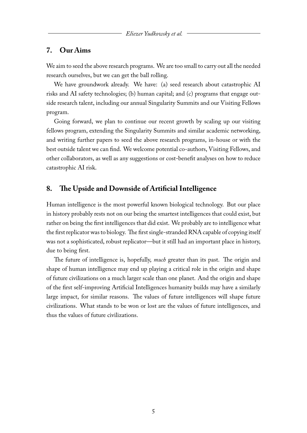#### **7. Our Aims**

We aim to seed the above research programs. We are too small to carry out all the needed research ourselves, but we can get the ball rolling.

We have groundwork already. We have: (a) seed research about catastrophic AI risks and AI safety technologies; (b) human capital; and (c) programs that engage outside research talent, including our annual Singularity Summits and our Visiting Fellows program.

Going forward, we plan to continue our recent growth by scaling up our visiting fellows program, extending the Singularity Summits and similar academic networking, and writing further papers to seed the above research programs, in-house or with the best outside talent we can find. We welcome potential co-authors, Visiting Fellows, and other collaborators, as well as any suggestions or cost-benefit analyses on how to reduce catastrophic AI risk.

#### **8. The Upside and Downside of Artificial Intelligence**

Human intelligence is the most powerful known biological technology. But our place in history probably rests not on our being the smartest intelligences that could exist, but rather on being the first intelligences that did exist. We probably are to intelligence what the first replicator was to biology. The first single-stranded RNA capable of copying itself was not a sophisticated, robust replicator—but it still had an important place in history, due to being first.

The future of intelligence is, hopefully, *much* greater than its past. The origin and shape of human intelligence may end up playing a critical role in the origin and shape of future civilizations on a much larger scale than one planet. And the origin and shape of the first self-improving Artificial Intelligences humanity builds may have a similarly large impact, for similar reasons. The values of future intelligences will shape future civilizations. What stands to be won or lost are the values of future intelligences, and thus the values of future civilizations.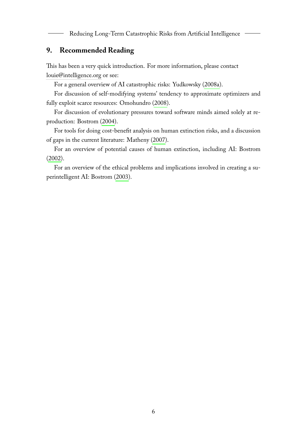Reducing Long-Term Catastrophic Risks from Artificial Intelligence

## **9. Recommended Reading**

This has been a very quick introduction. For more information, please contact [louie@intelligence.org](mailto:louie@intelligence.org) or see:

For a general overview of AI catastrophic risks: Yudkowsky [\(2008a\)](#page-8-2).

For discussion of self-modifying systems' tendency to approximate optimizers and fully exploit scarce resources: Omohundro [\(2008\)](#page-7-2).

For discussion of evolutionary pressures toward software minds aimed solely at reproduction: Bostrom [\(2004\)](#page-7-4).

For tools for doing cost-benefit analysis on human extinction risks, and a discussion of gaps in the current literature: Matheny [\(2007\)](#page-7-12).

For an overview of potential causes of human extinction, including AI: Bostrom [\(2002\)](#page-7-14).

For an overview of the ethical problems and implications involved in creating a superintelligent AI: Bostrom [\(2003\)](#page-7-15).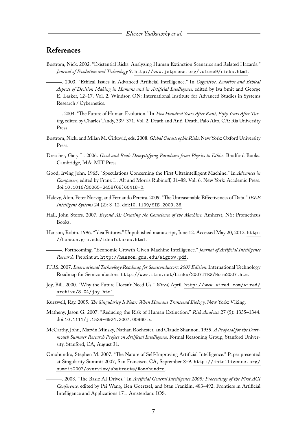### **References**

- <span id="page-7-15"></span><span id="page-7-14"></span>Bostrom, Nick. 2002. "Existential Risks: Analyzing Human Extinction Scenarios and Related Hazards." *Journal of Evolution and Technology* 9. <http://www.jetpress.org/volume9/risks.html>.
	- . 2003. "Ethical Issues in Advanced Artificial Intelligence." In *Cognitive, Emotive and Ethical Aspects of Decision Making in Humans and in Artificial Intelligence,* edited by Iva Smit and George E. Lasker, 12–17. Vol. 2. Windsor, ON: International Institute for Advanced Studies in Systems Research / Cybernetics.
	- . 2004. "The Future of Human Evolution." In *Two Hundred Years After Kant, Fifty Years After Turing,* edited by Charles Tandy, 339–371. Vol. 2. Death and Anti-Death. Palo Alto, CA: Ria University Press.
- <span id="page-7-16"></span><span id="page-7-4"></span>Bostrom, Nick, and Milan M. Ćirković, eds. 2008. *Global Catastrophic Risks.*New York: Oxford University Press.
- <span id="page-7-10"></span>Drescher, Gary L. 2006. *Good and Real: Demystifying Paradoxes from Physics to Ethics.* Bradford Books. Cambridge, MA: MIT Press.
- <span id="page-7-0"></span>Good, Irving John. 1965. "Speculations Concerning the First Ultraintelligent Machine." In *Advances in Computers,* edited by Franz L. Alt and Morris Rubinoff, 31–88. Vol. 6. New York: Academic Press. doi:[10.1016/S0065-2458\(08\)60418-0](http://dx.doi.org/10.1016/S0065-2458(08)60418-0).
- <span id="page-7-8"></span>Halevy, Alon, Peter Norvig, and Fernando Pereira. 2009. "The Unreasonable Effectiveness of Data."*IEEE Intelligent Systems* 24 (2): 8–12. doi:[10.1109/MIS.2009.36](http://dx.doi.org/10.1109/MIS.2009.36).
- <span id="page-7-11"></span>Hall, John Storrs. 2007. *Beyond AI: Creating the Conscience of the Machine.* Amherst, NY: Prometheus Books.
- <span id="page-7-13"></span><span id="page-7-6"></span>Hanson, Robin. 1996. "Idea Futures." Unpublished manuscript, June 12. Accessed May 20, 2012. [http:](http://hanson.gmu.edu/ideafutures.html) [//hanson.gmu.edu/ideafutures.html](http://hanson.gmu.edu/ideafutures.html).
	- . Forthcoming. "Economic Growth Given Machine Intelligence." *Journal of Artificial Intelligence Research.* Preprint at. <http://hanson.gmu.edu/aigrow.pdf>.
- <span id="page-7-5"></span>ITRS. 2007. *International Technology Roadmap for Semiconductors: 2007 Edition.*International Technology Roadmap for Semiconductors. <http://www.itrs.net/Links/2007ITRS/Home2007.htm>.
- <span id="page-7-9"></span>Joy, Bill. 2000. "Why the Future Doesn't Need Us." *Wired,* April. [http://www.wired.com/wired/](http://www.wired.com/wired/archive/8.04/joy.html) [archive/8.04/joy.html](http://www.wired.com/wired/archive/8.04/joy.html).
- <span id="page-7-1"></span>Kurzweil, Ray. 2005. *The Singularity Is Near: When Humans Transcend Biology.* New York: Viking.
- <span id="page-7-12"></span>Matheny, Jason G. 2007. "Reducing the Risk of Human Extinction." *Risk Analysis* 27 (5): 1335–1344. doi:[10.1111/j.1539-6924.2007.00960.x](http://dx.doi.org/10.1111/j.1539-6924.2007.00960.x).
- <span id="page-7-7"></span>McCarthy, John, Marvin Minsky, Nathan Rochester, and Claude Shannon. 1955. *A Proposal for the Dartmouth Summer Research Project on Artificial Intelligence.* Formal Reasoning Group, Stanford University, Stanford, CA, August 31.
- <span id="page-7-3"></span><span id="page-7-2"></span>Omohundro, Stephen M. 2007. "The Nature of Self-Improving Artificial Intelligence." Paper presented at Singularity Summit 2007, San Francisco, CA, September 8–9. [http://intelligence.org/](http://intelligence.org/summit2007/overview/abstracts/#omohundro) [summit2007/overview/abstracts/#omohundro](http://intelligence.org/summit2007/overview/abstracts/#omohundro).
	- . 2008. "The Basic AI Drives." In *Artificial General Intelligence 2008: Proceedings of the First AGI Conference,* edited by Pei Wang, Ben Goertzel, and Stan Franklin, 483–492. Frontiers in Artificial Intelligence and Applications 171. Amsterdam: IOS.